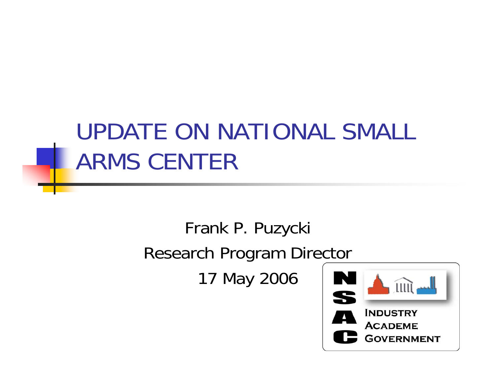### UPDATE ON NATIONAL SMALL ARMS CENTER

#### Frank P. Puzycki Research Program Director

17 May 2006

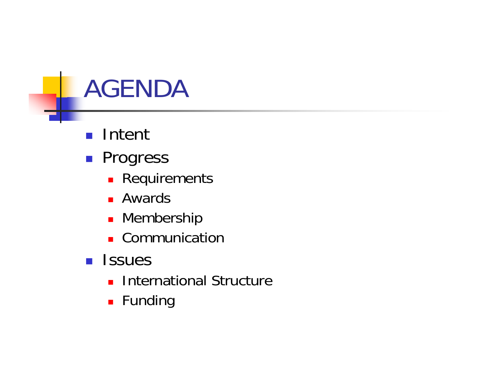# AGENDA

- Intent
- **Progress** 
	- **Requirements**
	- Awards
	- **-** Membership
	- **Communication**
- **<u>Relies</u>** 
	- **International Structure**
	- $\blacksquare$  Funding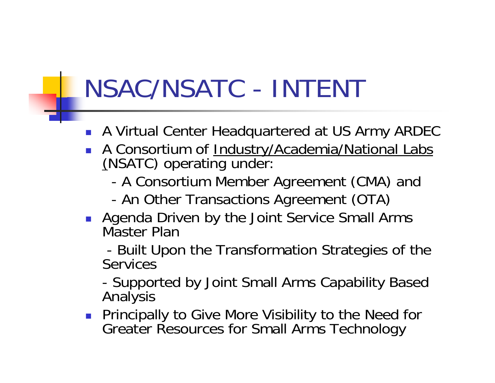# NSAC/NSATC - INTENT

- A Virtual Center Headquartered at US Army ARDEC
- $\overline{\phantom{a}}$ A Consortium of Industry/Academia/National Labs (NSATC) operating under:
	- -A Consortium Member Agreement (CMA) and
	- -An Other Transactions Agreement (OTA)
- **Agenda Driven by the Joint Service Small Arms** Master Plan

- Built Upon the Transformation Strategies of the **Services** 

- Supported by Joint Small Arms Capability Based Analysis

**Principally to Give More Visibility to the Need for** Greater Resources for Small Arms Technology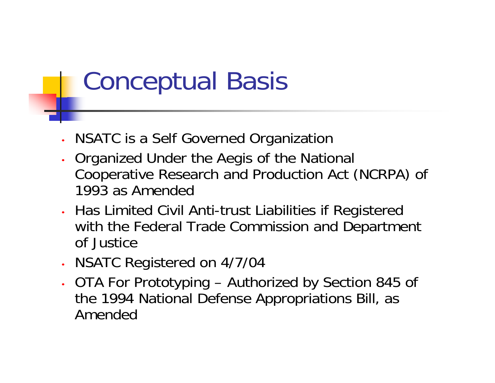# Conceptual Basis

- •NSATC is a Self Governed Organization
- • Organized Under the Aegis of the National Cooperative Research and Production Act (NCRPA) of 1993 as Amended
- • Has Limited Civil Anti-trust Liabilities if Registered with the Federal Trade Commission and Department of Justice
- •NSATC Registered on 4/7/04
- • OTA For Prototyping – Authorized by Section 845 of the 1994 National Defense Appropriations Bill, as Amended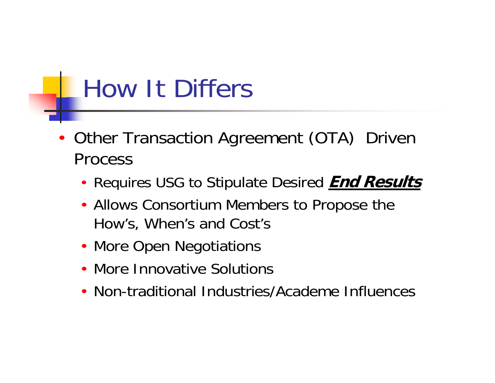# How It Differs

- • Other Transaction Agreement (OTA) Driven Process
	- Requires USG to Stipulate Desired **End Results**
	- Allows Consortium Members to Propose the How's, When's and Cost's
	- More Open Negotiations
	- More Innovative Solutions
	- Non-traditional Industries/Academe Influences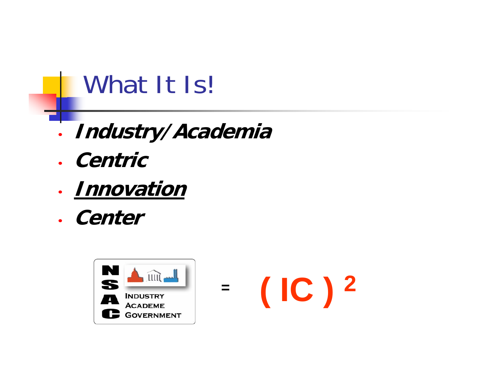# What It Is!

- •**Industry/Academia**
- **Centric**
- **Innovation**
- **Center**

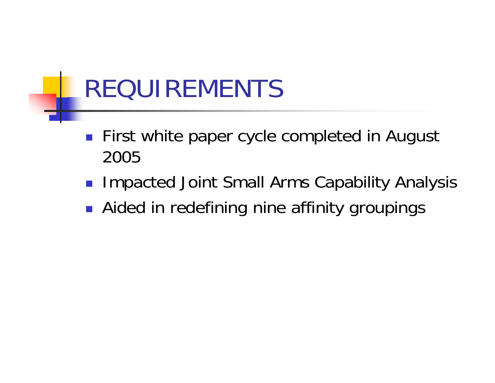# REQUIREMENTS

- **First white paper cycle completed in August** 2005
- Impacted Joint Small Arms Capability Analysis
- **Aided in redefining nine affinity groupings**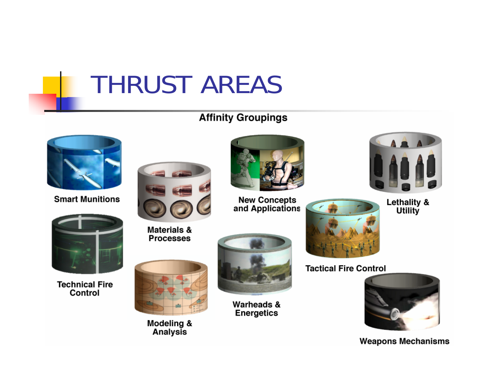# THRUST AREAS

#### **Affinity Groupings**



**Smart Munitions** 



**Technical Fire** Control



**Materials & Processes** 

Modeling & Analysis



**New Concepts<br>and Applications** 

Warheads & **Energetics** 



AAA

Lethality & **Utility** 

**Tactical Fire Control** 



**Weapons Mechanisms**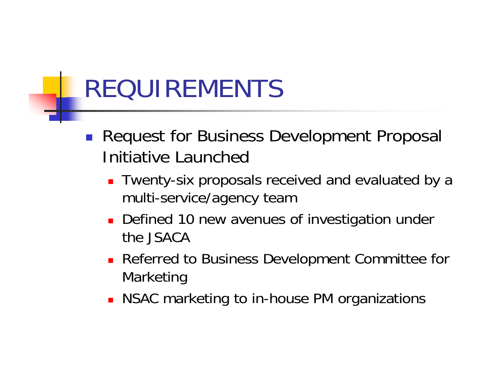# REQUIREMENTS

- **Request for Business Development Proposal** Initiative Launched
	- Twenty-six proposals received and evaluated by a multi-service/agency team
	- × Defined 10 new avenues of investigation under the JSACA
	- **Referred to Business Development Committee for** Marketing
	- **NSAC** marketing to in-house PM organizations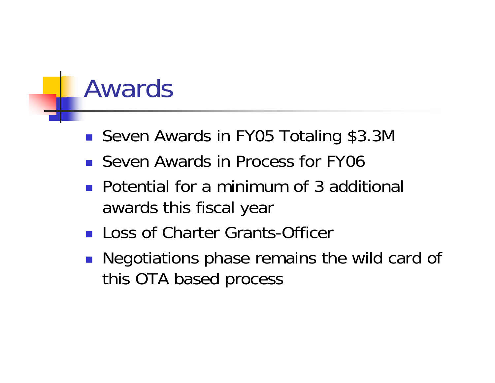### Awards

- Seven Awards in FY05 Totaling \$3.3M
- Seven Awards in Process for FY06
- **Potential for a minimum of 3 additional** awards this fiscal year
- **Loss of Charter Grants-Officer**
- **Negotiations phase remains the wild card of** this OTA based process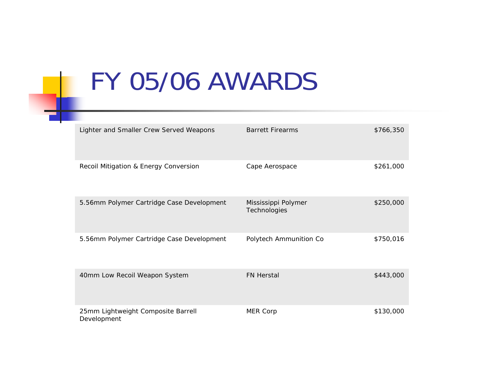### FY 05/06 AWARDS

| Lighter and Smaller Crew Served Weapons           | <b>Barrett Firearms</b>             | \$766,350 |
|---------------------------------------------------|-------------------------------------|-----------|
| Recoil Mitigation & Energy Conversion             | Cape Aerospace                      | \$261,000 |
| 5.56mm Polymer Cartridge Case Development         | Mississippi Polymer<br>Technologies | \$250,000 |
| 5.56mm Polymer Cartridge Case Development         | Polytech Ammunition Co              | \$750,016 |
| 40mm Low Recoil Weapon System                     | <b>FN Herstal</b>                   | \$443,000 |
| 25mm Lightweight Composite Barrell<br>Development | MER Corp                            | \$130,000 |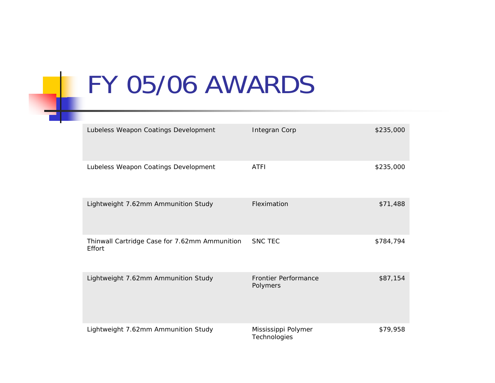# FY 05/06 AWARDS

| Lubeless Weapon Coatings Development                    | Integran Corp                           | \$235,000 |
|---------------------------------------------------------|-----------------------------------------|-----------|
| Lubeless Weapon Coatings Development                    | <b>ATFI</b>                             | \$235,000 |
| Lightweight 7.62mm Ammunition Study                     | Fleximation                             | \$71,488  |
| Thinwall Cartridge Case for 7.62mm Ammunition<br>Effort | <b>SNC TEC</b>                          | \$784,794 |
| Lightweight 7.62mm Ammunition Study                     | <b>Frontier Performance</b><br>Polymers | \$87,154  |
| Lightweight 7.62mm Ammunition Study                     | Mississippi Polymer<br>Technologies     | \$79,958  |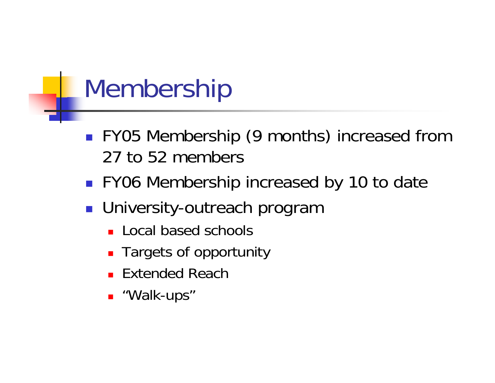#### Membership

- **FY05 Membership (9 months) increased from** 27 to 52 members
- FY06 Membership increased by 10 to date
- University-outreach program
	- **Local based schools**
	- **Targets of opportunity**
	- Extended Reach
	- "Walk-ups"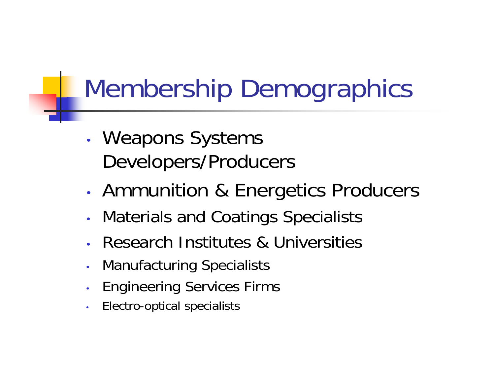# Membership Demographics

- • Weapons Systems Developers/Producers
- •Ammunition & Energetics Producers
- •Materials and Coatings Specialists
- •Research Institutes & Universities
- •Manufacturing Specialists
- •Engineering Services Firms
- •Electro-optical specialists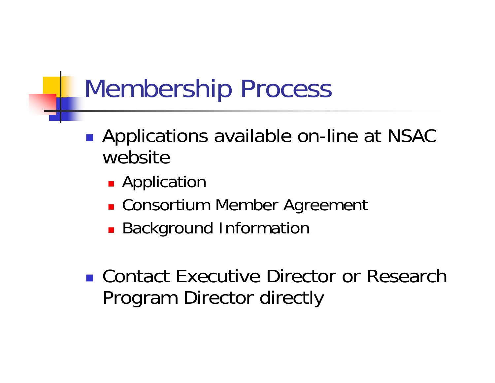# Membership Process

- $\mathbb{R}^n$ **• Applications available on-line at NSAC** website
	- **Application**
	- Consortium Member Agreement
	- **Background Information**
- Contact Executive Director or Research Program Director directly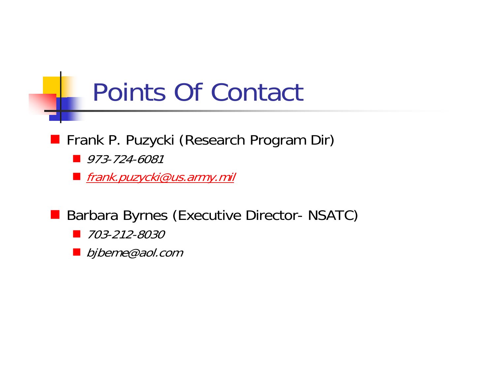#### Points Of Contact

#### **Frank P. Puzycki (Research Program Dir)**

- Ø 973-724-6081
- <u>■ frank.puzycki@us.army.mil</u>
- <u>a sa Ba</u> Barbara Byrnes (Executive Director- NSATC)
	- *703-212-8030*
	- bjbeme@aol.com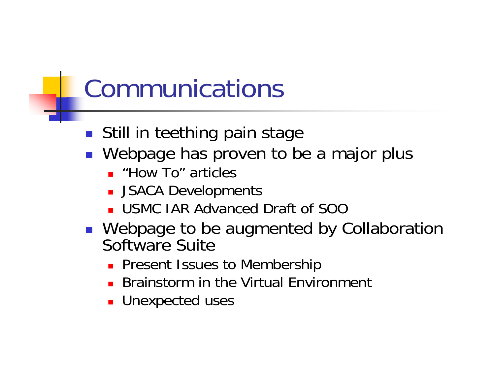# Communications

- **Still in teething pain stage**
- **Nebpage has proven to be a major plus** 
	- "How To" articles
	- **JSACA Developments**
	- USMC IAR Advanced Draft of SOO
- Webpage to be augmented by Collaboration Software Suite
	- **Present Issues to Membership**
	- **Brainstorm in the Virtual Environment**
	- **Unexpected uses**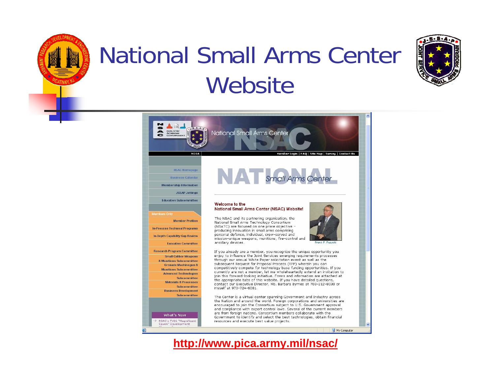

### National Small Arms Center **Website**





**http://www.pica.army.mil/nsac/**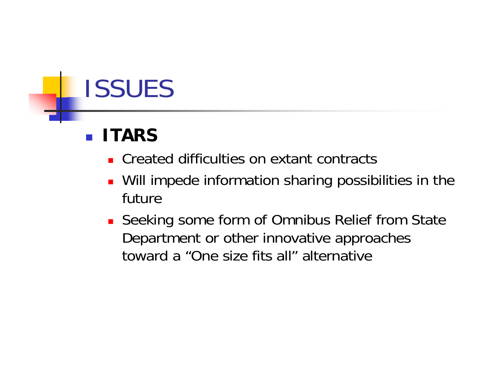# ISSUES

#### **ITARS**

- **EXTERN Created difficulties on extant contracts**
- Will impede information sharing possibilities in the future
- Seeking some form of Omnibus Relief from State Department or other innovative approaches toward a "One size fits all" alternative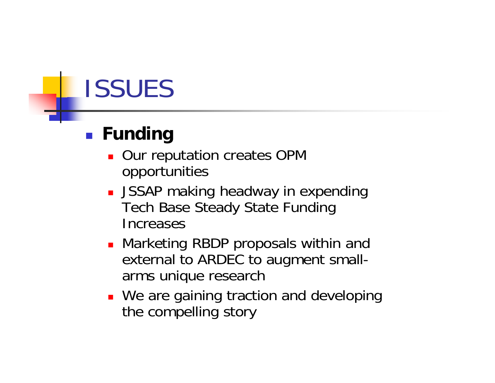# ISSUES

#### **Funding**

- **Our reputation creates OPM** opportunities
- **JSSAP making headway in expending** Tech Base Steady State Funding Increases
- Marketing RBDP proposals within and external to ARDEC to augment smallarms unique research
- **We are gaining traction and developing** the compelling story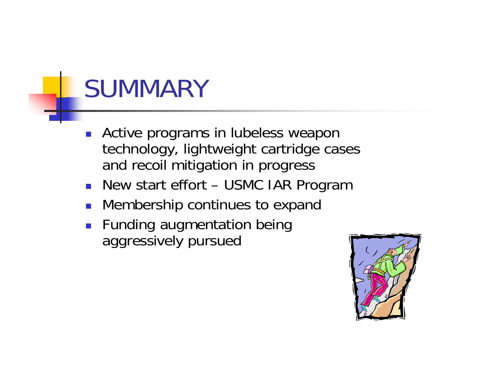# **SUMMARY**

- $\overline{\phantom{a}}$  Active programs in lubeless weapon technology, lightweight cartridge cases and recoil mitigation in progress
- New start effort USMC IAR Program
- **Nembership continues to expand**
- **Funding augmentation being** aggressively pursued